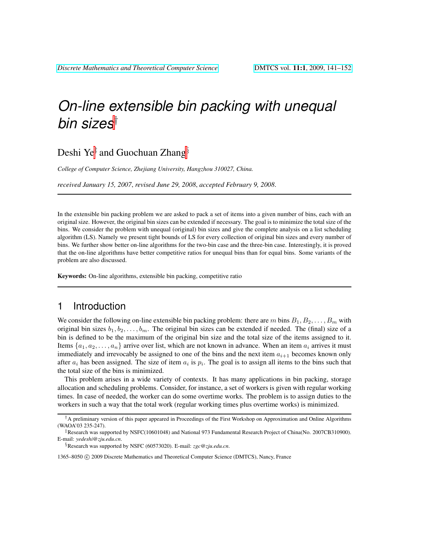# *On-line extensible bin packing with unequal bin sizes*†

## Deshi Ye‡ and Guochuan Zhang $\S$

*College of Computer Science, Zhejiang University, Hangzhou 310027, China.*

*received January 15, 2007*, *revised June 29, 2008*, *accepted February 9, 2008*.

In the extensible bin packing problem we are asked to pack a set of items into a given number of bins, each with an original size. However, the original bin sizes can be extended if necessary. The goal is to minimize the total size of the bins. We consider the problem with unequal (original) bin sizes and give the complete analysis on a list scheduling algorithm (LS). Namely we present tight bounds of LS for every collection of original bin sizes and every number of bins. We further show better on-line algorithms for the two-bin case and the three-bin case. Interestingly, it is proved that the on-line algorithms have better competitive ratios for unequal bins than for equal bins. Some variants of the problem are also discussed.

Keywords: On-line algorithms, extensible bin packing, competitive ratio

### 1 Introduction

We consider the following on-line extensible bin packing problem: there are m bins  $B_1, B_2, \ldots, B_m$  with original bin sizes  $b_1, b_2, \ldots, b_m$ . The original bin sizes can be extended if needed. The (final) size of a bin is defined to be the maximum of the original bin size and the total size of the items assigned to it. Items  $\{a_1, a_2, \ldots, a_n\}$  arrive over list, which are not known in advance. When an item  $a_i$  arrives it must immediately and irrevocably be assigned to one of the bins and the next item  $a_{i+1}$  becomes known only after  $a_i$  has been assigned. The size of item  $a_i$  is  $p_i$ . The goal is to assign all items to the bins such that the total size of the bins is minimized.

This problem arises in a wide variety of contexts. It has many applications in bin packing, storage allocation and scheduling problems. Consider, for instance, a set of workers is given with regular working times. In case of needed, the worker can do some overtime works. The problem is to assign duties to the workers in such a way that the total work (regular working times plus overtime works) is minimized.

§Research was supported by NSFC (60573020). E-mail: *zgc@zju.edu.cn*.

1365–8050 © 2009 Discrete Mathematics and Theoretical Computer Science (DMTCS), Nancy, France

 $\dagger$  A preliminary version of this paper appeared in Proceedings of the First Workshop on Approximation and Online Algorithms (WAOA'03 235-247).

<sup>‡</sup>Research was supported by NSFC(10601048) and National 973 Fundamental Research Project of China(No. 2007CB310900). E-mail: *yedeshi@zju.edu.cn*.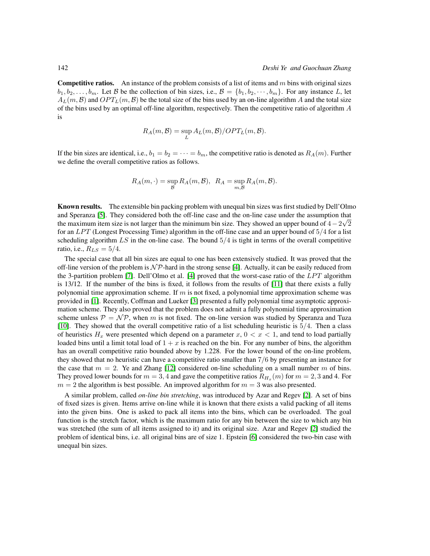**Competitive ratios.** An instance of the problem consists of a list of items and  $m$  bins with original sizes  $b_1, b_2, \ldots, b_m$ . Let B be the collection of bin sizes, i.e.,  $\mathcal{B} = \{b_1, b_2, \cdots, b_m\}$ . For any instance L, let  $A_L(m, \mathcal{B})$  and  $OPT_L(m, \mathcal{B})$  be the total size of the bins used by an on-line algorithm A and the total size of the bins used by an optimal off-line algorithm, respectively. Then the competitive ratio of algorithm A is

$$
R_A(m, \mathcal{B}) = \sup_L A_L(m, \mathcal{B}) / OPT_L(m, \mathcal{B}).
$$

If the bin sizes are identical, i.e.,  $b_1 = b_2 = \cdots = b_m$ , the competitive ratio is denoted as  $R_A(m)$ . Further we define the overall competitive ratios as follows.

$$
R_A(m, \cdot) = \sup_{\mathcal{B}} R_A(m, \mathcal{B}), \ \ R_A = \sup_{m, \mathcal{B}} R_A(m, \mathcal{B}).
$$

Known results. The extensible bin packing problem with unequal bin sizes was first studied by Dell'Olmo and Speranza [\[5\]](#page-11-0). They considered both the off-line case and the on-line case under the assumption that √ the maximum item size is not larger than the minimum bin size. They showed an upper bound of  $4-2\sqrt{2}$ for an  $LPT$  (Longest Processing Time) algorithm in the off-line case and an upper bound of  $5/4$  for a list scheduling algorithm  $LS$  in the on-line case. The bound  $5/4$  is tight in terms of the overall competitive ratio, i.e.,  $R_{LS} = 5/4$ .

The special case that all bin sizes are equal to one has been extensively studied. It was proved that the off-line version of the problem is  $N\mathcal{P}$ -hard in the strong sense [\[4\]](#page-11-1). Actually, it can be easily reduced from the 3-partition problem [\[7\]](#page-11-2). Dell'Olmo et al. [\[4\]](#page-11-1) proved that the worst-case ratio of the  $LPT$  algorithm is 13/12. If the number of the bins is fixed, it follows from the results of [\[11\]](#page-11-3) that there exists a fully polynomial time approximation scheme. If  $m$  is not fixed, a polynomial time approximation scheme was provided in [\[1\]](#page-11-4). Recently, Coffman and Lueker [\[3\]](#page-11-5) presented a fully polynomial time asymptotic approximation scheme. They also proved that the problem does not admit a fully polynomial time approximation scheme unless  $\mathcal{P} = \mathcal{NP}$ , when m is not fixed. The on-line version was studied by Speranza and Tuza [\[10\]](#page-11-6). They showed that the overall competitive ratio of a list scheduling heuristic is 5/4. Then a class of heuristics  $H_x$  were presented which depend on a parameter  $x, 0 < x < 1$ , and tend to load partially loaded bins until a limit total load of  $1 + x$  is reached on the bin. For any number of bins, the algorithm has an overall competitive ratio bounded above by 1.228. For the lower bound of the on-line problem, they showed that no heuristic can have a competitive ratio smaller than 7/6 by presenting an instance for the case that  $m = 2$ . Ye and Zhang [\[12\]](#page-11-7) considered on-line scheduling on a small number m of bins. They proved lower bounds for  $m = 3, 4$  and gave the competitive ratios  $R_{H_x}(m)$  for  $m = 2, 3$  and 4. For  $m = 2$  the algorithm is best possible. An improved algorithm for  $m = 3$  was also presented.

A similar problem, called *on-line bin stretching*, was introduced by Azar and Regev [\[2\]](#page-11-8). A set of bins of fixed sizes is given. Items arrive on-line while it is known that there exists a valid packing of all items into the given bins. One is asked to pack all items into the bins, which can be overloaded. The goal function is the stretch factor, which is the maximum ratio for any bin between the size to which any bin was stretched (the sum of all items assigned to it) and its original size. Azar and Regev [\[2\]](#page-11-8) studied the problem of identical bins, i.e. all original bins are of size 1. Epstein [\[6\]](#page-11-9) considered the two-bin case with unequal bin sizes.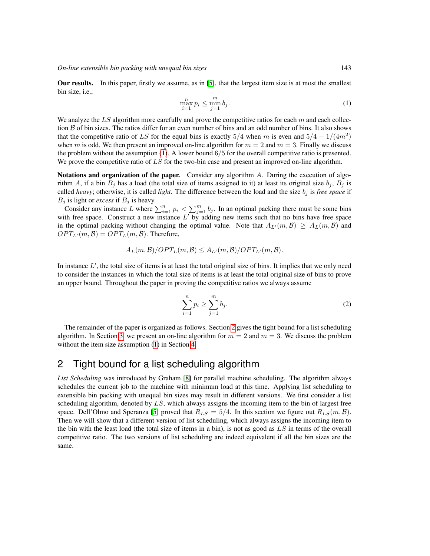Our results. In this paper, firstly we assume, as in [\[5\]](#page-11-0), that the largest item size is at most the smallest bin size, i.e.,

<span id="page-2-0"></span>
$$
\max_{i=1}^{n} p_i \le \min_{j=1}^{m} b_j.
$$
\n<sup>(1)</sup>

We analyze the LS algorithm more carefully and prove the competitive ratios for each m and each collection  $\beta$  of bin sizes. The ratios differ for an even number of bins and an odd number of bins. It also shows that the competitive ratio of LS for the equal bins is exactly 5/4 when m is even and  $5/4 - 1/(4m^2)$ when m is odd. We then present an improved on-line algorithm for  $m = 2$  and  $m = 3$ . Finally we discuss the problem without the assumption [\(1\)](#page-2-0). A lower bound  $6/5$  for the overall competitive ratio is presented. We prove the competitive ratio of  $LS$  for the two-bin case and present an improved on-line algorithm.

Notations and organization of the paper. Consider any algorithm A. During the execution of algorithm A, if a bin  $B_j$  has a load (the total size of items assigned to it) at least its original size  $b_j$ ,  $B_j$  is called *heavy*; otherwise, it is called *light*. The difference between the load and the size  $b_j$  is *free space* if  $B_j$  is light or *excess* if  $B_j$  is heavy.

Consider any instance L where  $\sum_{i=1}^{n} p_i < \sum_{j=1}^{m} b_j$ . In an optimal packing there must be some bins with free space. Construct a new instance  $L'$  by adding new items such that no bins have free space in the optimal packing without changing the optimal value. Note that  $A_{L'}(m, \mathcal{B}) \geq A_L(m, \mathcal{B})$  and  $OPT_{L'}(m, \mathcal{B}) = OPT_{L}(m, \mathcal{B})$ . Therefore,

$$
A_L(m,\mathcal{B})/OPT_L(m,\mathcal{B}) \leq A_{L'}(m,\mathcal{B})/OPT_{L'}(m,\mathcal{B}).
$$

In instance  $L'$ , the total size of items is at least the total original size of bins. It implies that we only need to consider the instances in which the total size of items is at least the total original size of bins to prove an upper bound. Throughout the paper in proving the competitive ratios we always assume

<span id="page-2-2"></span>
$$
\sum_{i=1}^{n} p_i \ge \sum_{j=1}^{m} b_j.
$$
 (2)

The remainder of the paper is organized as follows. Section [2](#page-2-1) gives the tight bound for a list scheduling algorithm. In Section [3,](#page-5-0) we present an on-line algorithm for  $m = 2$  and  $m = 3$ . We discuss the problem without the item size assumption [\(1\)](#page-2-0) in Section [4.](#page-9-0)

### <span id="page-2-1"></span>2 Tight bound for a list scheduling algorithm

*List Scheduling* was introduced by Graham [\[8\]](#page-11-10) for parallel machine scheduling. The algorithm always schedules the current job to the machine with minimum load at this time. Applying list scheduling to extensible bin packing with unequal bin sizes may result in different versions. We first consider a list scheduling algorithm, denoted by  $LS$ , which always assigns the incoming item to the bin of largest free space. Dell'Olmo and Speranza [\[5\]](#page-11-0) proved that  $R_{LS} = 5/4$ . In this section we figure out  $R_{LS}(m, \mathcal{B})$ . Then we will show that a different version of list scheduling, which always assigns the incoming item to the bin with the least load (the total size of items in a bin), is not as good as LS in terms of the overall competitive ratio. The two versions of list scheduling are indeed equivalent if all the bin sizes are the same.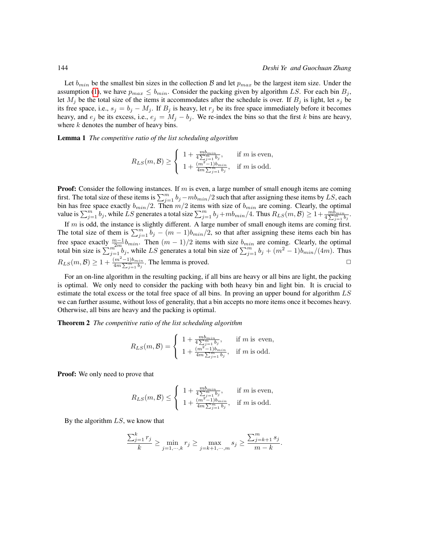Let  $b_{min}$  be the smallest bin sizes in the collection B and let  $p_{max}$  be the largest item size. Under the assumption [\(1\)](#page-2-0), we have  $p_{max} \leq b_{min}$ . Consider the packing given by algorithm LS. For each bin  $B_i$ , let  $M_j$  be the total size of the items it accommodates after the schedule is over. If  $B_j$  is light, let  $s_j$  be its free space, i.e.,  $s_j = b_j - M_j$ . If  $B_j$  is heavy, let  $r_j$  be its free space immediately before it becomes heavy, and  $e_j$  be its excess, i.e.,  $e_j = M_j - b_j$ . We re-index the bins so that the first k bins are heavy, where  $k$  denotes the number of heavy bins.

Lemma 1 *The competitive ratio of the list scheduling algorithm*

$$
R_{LS}(m,\mathcal{B}) \ge \begin{cases} 1 + \frac{mb_{min}}{4\sum_{j=1}^{m} b_j}, & \text{if } m \text{ is even,} \\ 1 + \frac{(m^2 - 1)b_{min}}{4m\sum_{j=1}^{m} b_j}, & \text{if } m \text{ is odd.} \end{cases}
$$

**Proof:** Consider the following instances. If  $m$  is even, a large number of small enough items are coming first. The total size of these items is  $\sum_{j=1}^{m} b_j -m b_{min}/2$  such that after assigning these items by LS, each bin has free space exactly  $b_{min}/2$ . Then  $m/2$  items with size of  $b_{min}$  are coming. Clearly, the optimal value is  $\sum_{j=1}^{m} b_j$ , while LS generates a total size  $\sum_{j=1}^{m} b_j + m b_{min}/4$ . Thus  $R_{LS}(m, \mathcal{B}) \geq 1 + \frac{m \tilde{b}_{min}}{4 \sum_{j=1}^{m} b_j}$ .

If m is odd, the instance is slightly different. A large number of small enough items are coming first. The total size of them is  $\sum_{j=1}^{m} b_j - (m-1)b_{min}/2$ , so that after assigning these items each bin has free space exactly  $\frac{m-1}{2m}b_{min}$ . Then  $(m-1)/2$  items with size  $b_{min}$  are coming. Clearly, the optimal total bin size is  $\sum_{j=1}^{m^{2m}} b_j$ , while LS generates a total bin size of  $\sum_{j=1}^{m} b_j + (m^2 - 1)b_{min}/(4m)$ . Thus  $R_{LS}(m, \mathcal{B}) \geq 1 + \frac{(m^2 - 1)b_{min}}{4m \sum_{j=1}^{m} b_j}$ . The lemma is proved.

For an on-line algorithm in the resulting packing, if all bins are heavy or all bins are light, the packing is optimal. We only need to consider the packing with both heavy bin and light bin. It is crucial to estimate the total excess or the total free space of all bins. In proving an upper bound for algorithm LS we can further assume, without loss of generality, that a bin accepts no more items once it becomes heavy. Otherwise, all bins are heavy and the packing is optimal.

Theorem 2 *The competitive ratio of the list scheduling algorithm*

$$
R_{LS}(m, \mathcal{B}) = \begin{cases} 1 + \frac{m b_{min}}{4 \sum_{j=1}^{m} b_j}, & \text{if } m \text{ is even,} \\ 1 + \frac{(m^2 - 1) b_{min}}{4 m \sum_{j=1}^{m} b_j}, & \text{if } m \text{ is odd.} \end{cases}
$$

Proof: We only need to prove that

$$
R_{LS}(m,\mathcal{B}) \leq \begin{cases} 1 + \frac{mb_{min}}{4\sum_{j=1}^{m} b_j}, & \text{if } m \text{ is even,} \\ 1 + \frac{(m^2 - 1)b_{min}}{4m\sum_{j=1}^{m} b_j}, & \text{if } m \text{ is odd.} \end{cases}
$$

By the algorithm  $LS$ , we know that

$$
\frac{\sum_{j=1}^k r_j}{k} \ge \min_{j=1,\cdots,k} r_j \ge \max_{j=k+1,\cdots,m} s_j \ge \frac{\sum_{j=k+1}^m s_j}{m-k}.
$$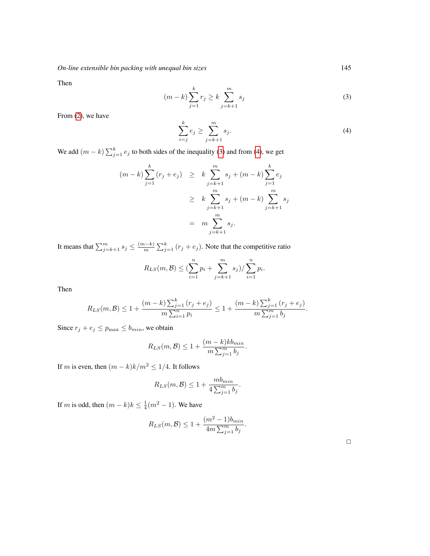*On-line extensible bin packing with unequal bin sizes* 145

Then

<span id="page-4-0"></span>
$$
(m-k)\sum_{j=1}^{k} r_j \ge k \sum_{j=k+1}^{m} s_j
$$
 (3)

From [\(2\)](#page-2-2), we have

<span id="page-4-1"></span>
$$
\sum_{i=j}^{k} e_j \ge \sum_{j=k+1}^{m} s_j.
$$
\n
$$
(4)
$$

We add  $(m - k) \sum_{j=1}^{k} e_j$  to both sides of the inequality [\(3\)](#page-4-0) and from [\(4\)](#page-4-1), we get

$$
(m-k)\sum_{j=1}^{k} (r_j + e_j) \geq k \sum_{j=k+1}^{m} s_j + (m-k) \sum_{j=1}^{k} e_j
$$
  

$$
\geq k \sum_{j=k+1}^{m} s_j + (m-k) \sum_{j=k+1}^{m} s_j
$$
  

$$
= m \sum_{j=k+1}^{m} s_j.
$$

It means that  $\sum_{j=k+1}^{m} s_j \leq \frac{(m-k)}{m}$  $\frac{(n-k)}{m} \sum_{j=1}^{k} (r_j + e_j)$ . Note that the competitive ratio

$$
R_{LS}(m, \mathcal{B}) \leq (\sum_{i=1}^{n} p_i + \sum_{j=k+1}^{m} s_j) / \sum_{i=1}^{n} p_i.
$$

Then

$$
R_{LS}(m, \mathcal{B}) \le 1 + \frac{(m-k)\sum_{j=1}^k (r_j + e_j)}{m\sum_{i=1}^n p_i} \le 1 + \frac{(m-k)\sum_{j=1}^k (r_j + e_j)}{m\sum_{j=1}^m b_j}.
$$

Since  $r_j + e_j \le p_{\text{max}} \le b_{\text{min}}$ , we obtain

$$
R_{LS}(m, \mathcal{B}) \le 1 + \frac{(m-k)kb_{min}}{m \sum_{j=1}^{m} b_j}.
$$

If  $m$  is even, then  $(m-k)k/m^2 \leq 1/4.$  It follows

$$
R_{LS}(m, \mathcal{B}) \le 1 + \frac{mb_{min}}{4\sum_{j=1}^{m} b_j}.
$$

If m is odd, then  $(m-k)k \leq \frac{1}{4}(m^2-1)$ . We have

$$
R_{LS}(m, \mathcal{B}) \le 1 + \frac{(m^2 - 1)b_{min}}{4m \sum_{j=1}^{m} b_j}.
$$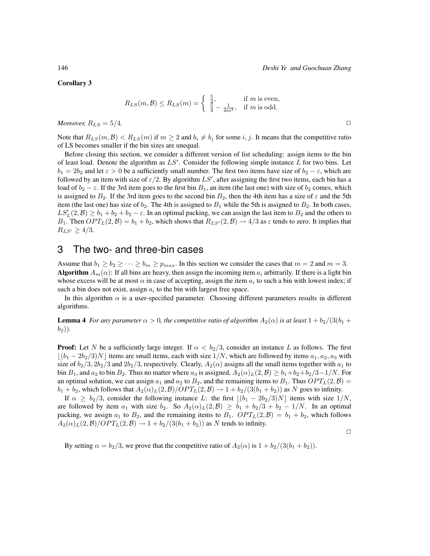Corollary 3

$$
R_{LS}(m,\mathcal{B}) \le R_{LS}(m) = \begin{cases} \frac{5}{4}, & \text{if } m \text{ is even,} \\ \frac{5}{4} - \frac{1}{4m^2}, & \text{if } m \text{ is odd.} \end{cases}
$$

*Moreover,*  $R_{LS} = 5/4$ .

Note that  $R_{LS}(m, \mathcal{B}) < R_{LS}(m)$  if  $m \geq 2$  and  $b_i \neq b_j$  for some i, j. It means that the competitive ratio of LS becomes smaller if the bin sizes are unequal.

Before closing this section, we consider a different version of list scheduling: assign items to the bin of least load. Denote the algorithm as  $LS'$ . Consider the following simple instance  $L$  for two bins. Let  $b_1 = 2b_2$  and let  $\varepsilon > 0$  be a sufficiently small number. The first two items have size of  $b_2 - \varepsilon$ , which are followed by an item with size of  $\varepsilon/2$ . By algorithm  $LS'$ , after assigning the first two items, each bin has a load of  $b_2 - \varepsilon$ . If the 3rd item goes to the first bin  $B_1$ , an item (the last one) with size of  $b_2$  comes, which is assigned to  $B_2$ . If the 3rd item goes to the second bin  $B_2$ , then the 4th item has a size of  $\varepsilon$  and the 5th item (the last one) has size of  $b_2$ . The 4th is assigned to  $B_1$  while the 5th is assigned to  $B_2$ . In both cases,  $LS'_{L}(2, \mathcal{B}) \ge b_1 + b_2 + b_2 - \varepsilon$ . In an optimal packing, we can assign the last item to  $B_2$  and the others to  $B_1$ . Then  $OPT_L(2, \mathcal{B}) = b_1 + b_2$ , which shows that  $R_{LS'}(2, \mathcal{B}) \rightarrow 4/3$  as  $\varepsilon$  tends to zero. It implies that  $R_{LS'} \ge 4/3.$ 

### <span id="page-5-0"></span>3 The two- and three-bin cases

Assume that  $b_1 \geq b_2 \geq \cdots \geq b_m \geq p_{max}$ . In this section we consider the cases that  $m = 2$  and  $m = 3$ . **Algorithm**  $A_m(\alpha)$ : If all bins are heavy, then assign the incoming item  $a_i$  arbitrarily. If there is a light bin whose excess will be at most  $\alpha$  in case of accepting, assign the item  $a_i$  to such a bin with lowest index; if such a bin does not exist, assign  $a_i$  to the bin with largest free space.

In this algorithm  $\alpha$  is a user-specified parameter. Choosing different parameters results in different algorithms.

**Lemma 4** *For any parameter*  $\alpha > 0$ *, the competitive ratio of algorithm*  $A_2(\alpha)$  *is at least*  $1 + b_2/(3(b_1 + b_2))$  $(b_2)$ ).

**Proof:** Let N be a sufficiently large integer. If  $\alpha < b_2/3$ , consider an instance L as follows. The first  $(b_1 - 2b_2/3)N$  items are small items, each with size  $1/N$ , which are followed by items  $a_1, a_2, a_3$  with size of  $b_2/3$ ,  $2b_2/3$  and  $2b_2/3$ , respectively. Clearly,  $A_2(\alpha)$  assigns all the small items together with  $a_1$  to bin  $B_1$ , and  $a_2$  to bin  $B_2$ . Thus no matter where  $a_3$  is assigned,  $A_2(\alpha)_L(2,\mathcal{B}) \geq b_1+b_2+b_2/3-1/N$ . For an optimal solution, we can assign  $a_1$  and  $a_2$  to  $B_2$ , and the remaining items to  $B_1$ . Thus  $OPT<sub>L</sub>(2, \mathcal{B})$  =  $b_1 + b_2$ , which follows that  $A_2(\alpha)_L(2,\mathcal{B})/OPT_L(2,\mathcal{B}) \to 1 + b_2/(3(b_1 + b_2))$  as N goes to infinity.

If  $\alpha \geq b_2/3$ , consider the following instance L: the first  $|(b_1 - 2b_2/3)N|$  items with size  $1/N$ , are followed by item  $a_1$  with size  $b_2$ . So  $A_2(\alpha)_L(2,\mathcal{B}) \geq b_1 + b_2/3 + b_2 - 1/N$ . In an optimal packing, we assign  $a_1$  to  $B_2$ , and the remaining items to  $B_1$ .  $OPT_L(2, \mathcal{B}) = b_1 + b_2$ , which follows  $A_2(\alpha)_L(2,\mathcal{B})/OPT_L(2,\mathcal{B}) \rightarrow 1 + b_2/(3(b_1+b_2))$  as N tends to infinity.

 $\Box$ 

<span id="page-5-1"></span>By setting  $\alpha = b_2/3$ , we prove that the competitive ratio of  $A_2(\alpha)$  is  $1 + b_2/(3(b_1 + b_2))$ .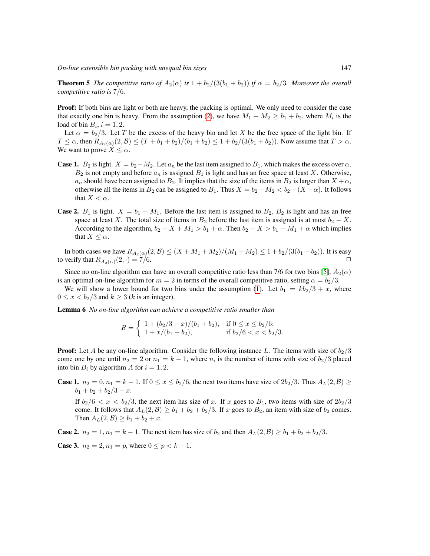*On-line extensible bin packing with unequal bin sizes* 147

**Theorem 5** *The competitive ratio of*  $A_2(\alpha)$  *is*  $1 + b_2/(3(b_1 + b_2))$  *if*  $\alpha = b_2/3$ *. Moreover the overall competitive ratio is* 7/6*.*

**Proof:** If both bins are light or both are heavy, the packing is optimal. We only need to consider the case that exactly one bin is heavy. From the assumption [\(2\)](#page-2-2), we have  $M_1 + M_2 \ge b_1 + b_2$ , where  $M_i$  is the load of bin  $B_i$ ,  $i = 1, 2$ .

Let  $\alpha = b_2/3$ . Let T be the excess of the heavy bin and let X be the free space of the light bin. If  $T \le \alpha$ , then  $R_{A_2(\alpha)}(2,\mathcal{B}) \le (T + b_1 + b_2)/(b_1 + b_2) \le 1 + b_2/(3(b_1 + b_2))$ . Now assume that  $T > \alpha$ . We want to prove  $X \leq \alpha$ .

- **Case 1.**  $B_2$  is light.  $X = b_2 M_2$ . Let  $a_n$  be the last item assigned to  $B_1$ , which makes the excess over  $\alpha$ .  $B_2$  is not empty and before  $a_n$  is assigned  $B_1$  is light and has an free space at least X. Otherwise,  $a_n$  should have been assigned to  $B_2$ . It implies that the size of the items in  $B_2$  is larger than  $X + \alpha$ , otherwise all the items in  $B_2$  can be assigned to  $B_1$ . Thus  $X = b_2 - M_2 < b_2 - (X + \alpha)$ . It follows that  $X < \alpha$ .
- **Case 2.**  $B_1$  is light.  $X = b_1 M_1$ . Before the last item is assigned to  $B_2$ ,  $B_2$  is light and has an free space at least X. The total size of items in  $B_2$  before the last item is assigned is at most  $b_2 - X$ . According to the algorithm,  $b_2 - X + M_1 > b_1 + \alpha$ . Then  $b_2 - X > b_1 - M_1 + \alpha$  which implies that  $X \leq \alpha$ .

In both cases we have  $R_{A_2(\alpha)}(2,\beta) \leq (X + M_1 + M_2)/(M_1 + M_2) \leq 1 + b_2/(3(b_1 + b_2))$ . It is easy to verify that  $R_{A_2(\alpha)}(2, \cdot) = 7/6$ .

Since no on-line algorithm can have an overall competitive ratio less than 7/6 for two bins [\[5\]](#page-11-0),  $A_2(\alpha)$ is an optimal on-line algorithm for  $m = 2$  in terms of the overall competitive ratio, setting  $\alpha = b_2/3$ .

We will show a lower bound for two bins under the assumption [\(1\)](#page-2-0). Let  $b_1 = kb_2/3 + x$ , where  $0 \leq x < b_2/3$  and  $k \geq 3$  (k is an integer).

<span id="page-6-0"></span>Lemma 6 *No on-line algorithm can achieve a competitive ratio smaller than*

$$
R = \begin{cases} 1 + (b_2/3 - x)/(b_1 + b_2), & \text{if } 0 \le x \le b_2/6; \\ 1 + x/(b_1 + b_2), & \text{if } b_2/6 < x < b_2/3. \end{cases}
$$

**Proof:** Let A be any on-line algorithm. Consider the following instance L. The items with size of  $b_2/3$ come one by one until  $n_2 = 2$  or  $n_1 = k - 1$ , where  $n_i$  is the number of items with size of  $b_2/3$  placed into bin  $B_i$  by algorithm A for  $i = 1, 2$ .

**Case 1.**  $n_2 = 0, n_1 = k - 1$ . If  $0 \le x \le b_2/6$ , the next two items have size of  $2b_2/3$ . Thus  $A_L(2, \mathcal{B}) \ge$  $b_1 + b_2 + b_2/3 - x.$ 

If  $b_2/6 < x < b_2/3$ , the next item has size of x. If x goes to  $B_1$ , two items with size of  $2b_2/3$ come. It follows that  $A_L(2, \mathcal{B}) \ge b_1 + b_2 + b_2/3$ . If x goes to  $B_2$ , an item with size of  $b_2$  comes. Then  $A_L(2, \mathcal{B}) \ge b_1 + b_2 + x$ .

**Case 2.**  $n_2 = 1, n_1 = k - 1$ . The next item has size of  $b_2$  and then  $A_L(2, \mathcal{B}) \ge b_1 + b_2 + b_2/3$ .

**Case 3.**  $n_2 = 2, n_1 = p$ , where  $0 \le p \le k - 1$ .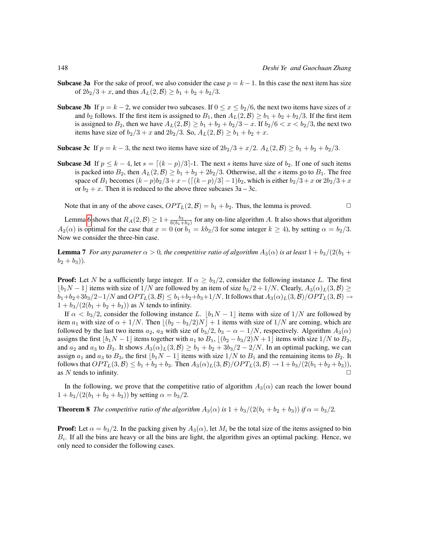- **Subcase 3a** For the sake of proof, we also consider the case  $p = k 1$ . In this case the next item has size of  $2b_2/3 + x$ , and thus  $A_L(2, \mathcal{B}) \ge b_1 + b_2 + b_2/3$ .
- **Subcase 3b** If  $p = k 2$ , we consider two subcases. If  $0 \le x \le b_2/6$ , the next two items have sizes of x and  $b_2$  follows. If the first item is assigned to  $B_1$ , then  $A_L(2, \mathcal{B}) \geq b_1 + b_2 + b_2/3$ . If the first item is assigned to  $B_2$ , then we have  $A_L(2, \mathcal{B}) \ge b_1 + b_2 + b_2/3 - x$ . If  $b_2/6 < x < b_2/3$ , the next two items have size of  $b_2/3 + x$  and  $2b_2/3$ . So,  $A_L(2, \mathcal{B}) \ge b_1 + b_2 + x$ .
- **Subcase 3c** If  $p = k 3$ , the next two items have size of  $2b_2/3 + x/2$ .  $A_L(2, \mathcal{B}) \ge b_1 + b_2 + b_2/3$ .
- **Subcase 3d** If  $p \le k 4$ , let  $s = \lfloor (k p)/3 \rfloor 1$ . The next s items have size of  $b_2$ . If one of such items is packed into  $B_2$ , then  $A_L(2, \mathcal{B}) \ge b_1 + b_2 + 2b_2/3$ . Otherwise, all the s items go to  $B_1$ . The free space of  $B_1$  becomes  $(k - p)b_2/3 + x - (\lceil (k - p)/3 \rceil - 1)b_2$ , which is either  $b_2/3 + x$  or  $2b_2/3 + x$ or  $b_2 + x$ . Then it is reduced to the above three subcases  $3a - 3c$ .

Note that in any of the above cases,  $OPT_L(2, \mathcal{B}) = b_1 + b_2$ . Thus, the lemma is proved.

Lemma [6](#page-6-0) shows that  $R_A(2,\mathcal{B}) \geq 1+\frac{b_2}{6(b_1+b_2)}$  for any on-line algorithm A. It also shows that algorithm  $A_2(\alpha)$  is optimal for the case that  $x = 0$  (or  $b_1 = kb_2/3$  for some integer  $k \ge 4$ ), by setting  $\alpha = b_2/3$ . Now we consider the three-bin case.

**Lemma 7** *For any parameter*  $\alpha > 0$ *, the competitive ratio of algorithm*  $A_3(\alpha)$  *is at least*  $1 + b_3/(2(b_1 + b_2))$  $(b_2 + b_3)$ .

**Proof:** Let N be a sufficiently large integer. If  $\alpha \geq b_3/2$ , consider the following instance L. The first  $|b_1N-1|$  items with size of  $1/N$  are followed by an item of size  $b_3/2+1/N$ . Clearly,  $A_3(\alpha)_L(3,\mathcal{B}) \ge$  $b_1+b_2+3b_3/2-1/N$  and  $OPT_L(3, \mathcal{B}) \leq b_1+b_2+b_3+1/N$ . It follows that  $A_3(\alpha)_L(3, \mathcal{B})/OPT_L(3, \mathcal{B}) \rightarrow$  $1 + b_3/(2(b_1 + b_2 + b_3))$  as N tends to infinity.

If  $\alpha < b_3/2$ , consider the following instance L.  $|b_1N - 1|$  items with size of 1/N are followed by item  $a_1$  with size of  $\alpha + 1/N$ . Then  $|(b_2 - b_3/2)N| + 1$  items with size of  $1/N$  are coming, which are followed by the last two items  $a_2$ ,  $a_3$  with size of  $b_3/2$ ,  $b_3 - \alpha - 1/N$ , respectively. Algorithm  $A_3(\alpha)$ assigns the first  $\lfloor b_1N - 1 \rfloor$  items together with  $a_1$  to  $B_1$ ,  $\lfloor (b_2 - b_3/2)N + 1 \rfloor$  items with size  $1/N$  to  $B_2$ , and  $a_2$  and  $a_3$  to  $B_3$ . It shows  $A_3(\alpha)_L(3, \beta) \ge b_1 + b_2 + 3b_3/2 - 2/N$ . In an optimal packing, we can assign  $a_1$  and  $a_3$  to  $B_3$ , the first  $\lfloor b_1N - 1 \rfloor$  items with size  $1/N$  to  $B_1$  and the remaining items to  $B_2$ . It follows that  $OPT_L(3, \mathcal{B}) \leq b_1 + b_2 + b_3$ . Then  $A_3(\alpha)_L(3, \mathcal{B})/OPT_L(3, \mathcal{B}) \to 1 + b_3/(2(b_1 + b_2 + b_3))$ , as N tends to infinity.  $\Box$ 

In the following, we prove that the competitive ratio of algorithm  $A_3(\alpha)$  can reach the lower bound  $1 + b_3/(2(b_1 + b_2 + b_3))$  by setting  $\alpha = b_3/2$ .

<span id="page-7-0"></span>**Theorem 8** *The competitive ratio of the algorithm*  $A_3(\alpha)$  *is*  $1 + b_3/(2(b_1 + b_2 + b_3))$  *if*  $\alpha = b_3/2$ *.* 

**Proof:** Let  $\alpha = b_3/2$ . In the packing given by  $A_3(\alpha)$ , let  $M_i$  be the total size of the items assigned to bin  $B<sub>i</sub>$ . If all the bins are heavy or all the bins are light, the algorithm gives an optimal packing. Hence, we only need to consider the following cases.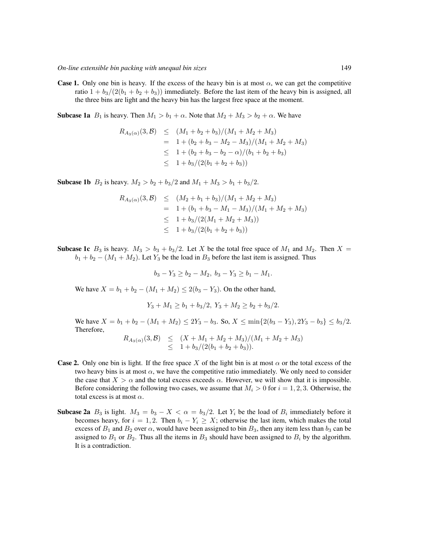**Case 1.** Only one bin is heavy. If the excess of the heavy bin is at most  $\alpha$ , we can get the competitive ratio  $1 + b_3/(2(b_1 + b_2 + b_3))$  immediately. Before the last item of the heavy bin is assigned, all the three bins are light and the heavy bin has the largest free space at the moment.

**Subcase 1a**  $B_1$  is heavy. Then  $M_1 > b_1 + \alpha$ . Note that  $M_2 + M_3 > b_2 + \alpha$ . We have

$$
R_{A_3(\alpha)}(3, \mathcal{B}) \le (M_1 + b_2 + b_3)/(M_1 + M_2 + M_3)
$$
  
= 1 + (b\_2 + b\_3 - M\_2 - M\_3)/(M\_1 + M\_2 + M\_3)  

$$
\le 1 + (b_2 + b_3 - b_2 - \alpha)/(b_1 + b_2 + b_3)
$$
  

$$
\le 1 + b_3/(2(b_1 + b_2 + b_3))
$$

**Subcase 1b**  $B_2$  is heavy.  $M_2 > b_2 + b_3/2$  and  $M_1 + M_3 > b_1 + b_3/2$ .

$$
R_{A_3(\alpha)}(3, \mathcal{B}) \leq (M_2 + b_1 + b_3)/(M_1 + M_2 + M_3)
$$
  
= 1 + (b\_1 + b\_3 - M\_1 - M\_3)/(M\_1 + M\_2 + M\_3)  

$$
\leq 1 + b_3/(2(M_1 + M_2 + M_3))
$$
  

$$
\leq 1 + b_3/(2(b_1 + b_2 + b_3))
$$

**Subcase 1c**  $B_3$  is heavy.  $M_3 > b_3 + b_3/2$ . Let X be the total free space of  $M_1$  and  $M_2$ . Then  $X =$  $b_1 + b_2 - (M_1 + M_2)$ . Let  $Y_3$  be the load in  $B_3$  before the last item is assigned. Thus

$$
b_3 - Y_3 \ge b_2 - M_2, \ b_3 - Y_3 \ge b_1 - M_1.
$$

We have  $X = b_1 + b_2 - (M_1 + M_2) \leq 2(b_3 - Y_3)$ . On the other hand,

$$
Y_3 + M_1 \ge b_1 + b_3/2, Y_3 + M_2 \ge b_2 + b_3/2.
$$

We have  $X = b_1 + b_2 - (M_1 + M_2) \le 2Y_3 - b_3$ . So,  $X \le \min\{2(b_3 - Y_3), 2Y_3 - b_3\} \le b_3/2$ . Therefore,

$$
R_{A_3(\alpha)}(3,\mathcal{B}) \leq (X + M_1 + M_2 + M_3)/(M_1 + M_2 + M_3)
$$
  
 
$$
\leq 1 + b_3/(2(b_1 + b_2 + b_3)).
$$

- **Case 2.** Only one bin is light. If the free space X of the light bin is at most  $\alpha$  or the total excess of the two heavy bins is at most  $\alpha$ , we have the competitive ratio immediately. We only need to consider the case that  $X > \alpha$  and the total excess exceeds  $\alpha$ . However, we will show that it is impossible. Before considering the following two cases, we assume that  $M_i > 0$  for  $i = 1, 2, 3$ . Otherwise, the total excess is at most  $\alpha$ .
- **Subcase 2a**  $B_3$  is light.  $M_3 = b_3 X < \alpha = b_3/2$ . Let  $Y_i$  be the load of  $B_i$  immediately before it becomes heavy, for  $i = 1, 2$ . Then  $b_i - Y_i \geq X$ ; otherwise the last item, which makes the total excess of  $B_1$  and  $B_2$  over  $\alpha$ , would have been assigned to bin  $B_3$ , then any item less than  $b_3$  can be assigned to  $B_1$  or  $B_2$ . Thus all the items in  $B_3$  should have been assigned to  $B_i$  by the algorithm. It is a contradiction.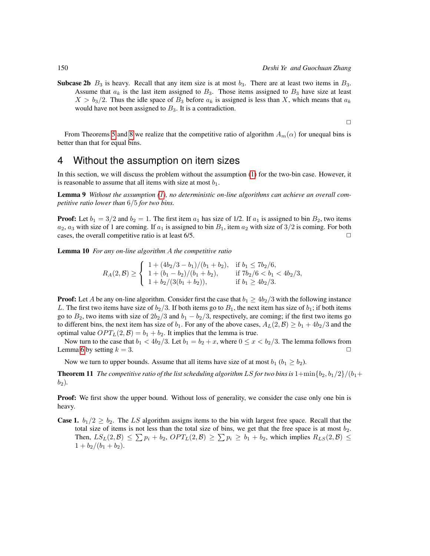**Subcase 2b**  $B_3$  is heavy. Recall that any item size is at most  $b_3$ . There are at least two items in  $B_3$ . Assume that  $a_k$  is the last item assigned to  $B_3$ . Those items assigned to  $B_3$  have size at least  $X > b_3/2$ . Thus the idle space of  $B_3$  before  $a_k$  is assigned is less than X, which means that  $a_k$ would have not been assigned to  $B_3$ . It is a contradiction.

 $\Box$ 

From Theorems [5](#page-5-1) and [8](#page-7-0) we realize that the competitive ratio of algorithm  $A_m(\alpha)$  for unequal bins is better than that for equal bins.

### <span id="page-9-0"></span>4 Without the assumption on item sizes

In this section, we will discuss the problem without the assumption [\(1\)](#page-2-0) for the two-bin case. However, it is reasonable to assume that all items with size at most  $b_1$ .

Lemma 9 *Without the assumption [\(1\)](#page-2-0), no deterministic on-line algorithms can achieve an overall competitive ratio lower than* 6/5 *for two bins.*

**Proof:** Let  $b_1 = 3/2$  and  $b_2 = 1$ . The first item  $a_1$  has size of 1/2. If  $a_1$  is assigned to bin  $B_2$ , two items  $a_2, a_3$  with size of 1 are coming. If  $a_1$  is assigned to bin  $B_1$ , item  $a_2$  with size of  $3/2$  is coming. For both cases, the overall competitive ratio is at least  $6/5$ .

Lemma 10 *For any on-line algorithm* A *the competitive ratio*

$$
R_A(2,\mathcal{B}) \ge \begin{cases} 1 + (4b_2/3 - b_1)/(b_1 + b_2), & \text{if } b_1 \le 7b_2/6, \\ 1 + (b_1 - b_2)/(b_1 + b_2), & \text{if } 7b_2/6 < b_1 < 4b_2/3, \\ 1 + b_2/(3(b_1 + b_2)), & \text{if } b_1 \ge 4b_2/3. \end{cases}
$$

**Proof:** Let A be any on-line algorithm. Consider first the case that  $b_1 \ge 4b_2/3$  with the following instance L. The first two items have size of  $b_2/3$ . If both items go to  $B_1$ , the next item has size of  $b_1$ ; if both items go to  $B_2$ , two items with size of  $2b_2/3$  and  $b_1 - b_2/3$ , respectively, are coming; if the first two items go to different bins, the next item has size of  $b_1$ . For any of the above cases,  $A_L(2, \mathcal{B}) \ge b_1 + 4b_2/3$  and the optimal value  $OPT_L(2, \mathcal{B}) = b_1 + b_2$ . It implies that the lemma is true.

Now turn to the case that  $b_1 < 4b_2/3$ . Let  $b_1 = b_2 + x$ , where  $0 \le x < b_2/3$ . The lemma follows from Lemma [6](#page-6-0) by setting  $k = 3$ .

Now we turn to upper bounds. Assume that all items have size of at most  $b_1$  ( $b_1 \geq b_2$ ).

<span id="page-9-1"></span>**Theorem 11** *The competitive ratio of the list scheduling algorithm* LS *for two bins is*  $1+\min\{b_2, b_1/2\}/(b_1+\min\{b_2, b_2\})$  $b_2$ ).

**Proof:** We first show the upper bound. Without loss of generality, we consider the case only one bin is heavy.

**Case 1.**  $b_1/2 \ge b_2$ . The LS algorithm assigns items to the bin with largest free space. Recall that the total size of items is not less than the total size of bins, we get that the free space is at most  $b_2$ . Then,  $LS_L(2, \mathcal{B}) \leq \sum p_i + b_2$ ,  $OPT_L(2, \mathcal{B}) \geq \sum p_i \geq b_1 + b_2$ , which implies  $R_{LS}(2, \mathcal{B}) \leq$  $1 + b_2/(b_1 + b_2).$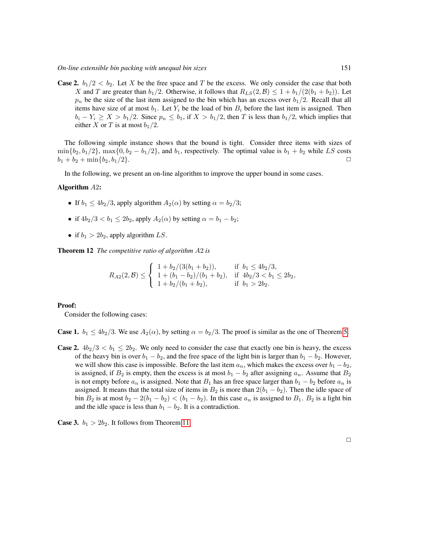**Case 2.**  $b_1/2 < b_2$ . Let X be the free space and T be the excess. We only consider the case that both X and T are greater than  $b_1/2$ . Otherwise, it follows that  $R_{LS}(2, \mathcal{B}) \leq 1 + b_1/(2(b_1 + b_2))$ . Let  $p_n$  be the size of the last item assigned to the bin which has an excess over  $b_1/2$ . Recall that all items have size of at most  $b_1$ . Let  $Y_i$  be the load of bin  $B_i$  before the last item is assigned. Then  $b_i - Y_i \ge X > b_1/2$ . Since  $p_n \le b_1$ , if  $X > b_1/2$ , then T is less than  $b_1/2$ , which implies that either X or T is at most  $b_1/2$ .

The following simple instance shows that the bound is tight. Consider three items with sizes of  $\min\{b_2, b_1/2\}$ ,  $\max\{0, b_2 - b_1/2\}$ , and  $b_1$ , respectively. The optimal value is  $b_1 + b_2$  while LS costs  $b_1 + b_2 + \min\{b_2, b_1/2\}.$ 

In the following, we present an on-line algorithm to improve the upper bound in some cases.

### Algorithm A2:

- If  $b_1 \leq 4b_2/3$ , apply algorithm  $A_2(\alpha)$  by setting  $\alpha = b_2/3$ ;
- if  $4b_2/3 < b_1 \leq 2b_2$ , apply  $A_2(\alpha)$  by setting  $\alpha = b_1 b_2$ ;
- if  $b_1 > 2b_2$ , apply algorithm LS.

Theorem 12 *The competitive ratio of algorithm* A2 *is*

$$
R_{A2}(2,\mathcal{B}) \leq \begin{cases} 1+b_2/(3(b_1+b_2)), & \text{if } b_1 \leq 4b_2/3, \\ 1+(b_1-b_2)/(b_1+b_2), & \text{if } 4b_2/3 < b_1 \leq 2b_2, \\ 1+b_2/(b_1+b_2), & \text{if } b_1 > 2b_2. \end{cases}
$$

#### Proof:

Consider the following cases:

**Case 1.**  $b_1 \le 4b_2/3$ . We use  $A_2(\alpha)$ , by setting  $\alpha = b_2/3$ . The proof is similar as the one of Theorem [5.](#page-5-1)

**Case 2.**  $4b_2/3 < b_1 \le 2b_2$ . We only need to consider the case that exactly one bin is heavy, the excess of the heavy bin is over  $b_1 - b_2$ , and the free space of the light bin is larger than  $b_1 - b_2$ . However, we will show this case is impossible. Before the last item  $a_n$ , which makes the excess over  $b_1 - b_2$ , is assigned, if  $B_2$  is empty, then the excess is at most  $b_1 - b_2$  after assigning  $a_n$ . Assume that  $B_2$ is not empty before  $a_n$  is assigned. Note that  $B_1$  has an free space larger than  $b_1 - b_2$  before  $a_n$  is assigned. It means that the total size of items in  $B_2$  is more than  $2(b_1 - b_2)$ . Then the idle space of bin  $B_2$  is at most  $b_2 - 2(b_1 - b_2) < (b_1 - b_2)$ . In this case  $a_n$  is assigned to  $B_1$ .  $B_2$  is a light bin and the idle space is less than  $b_1 - b_2$ . It is a contradiction.

**Case 3.**  $b_1 > 2b_2$ . It follows from Theorem [11.](#page-9-1)